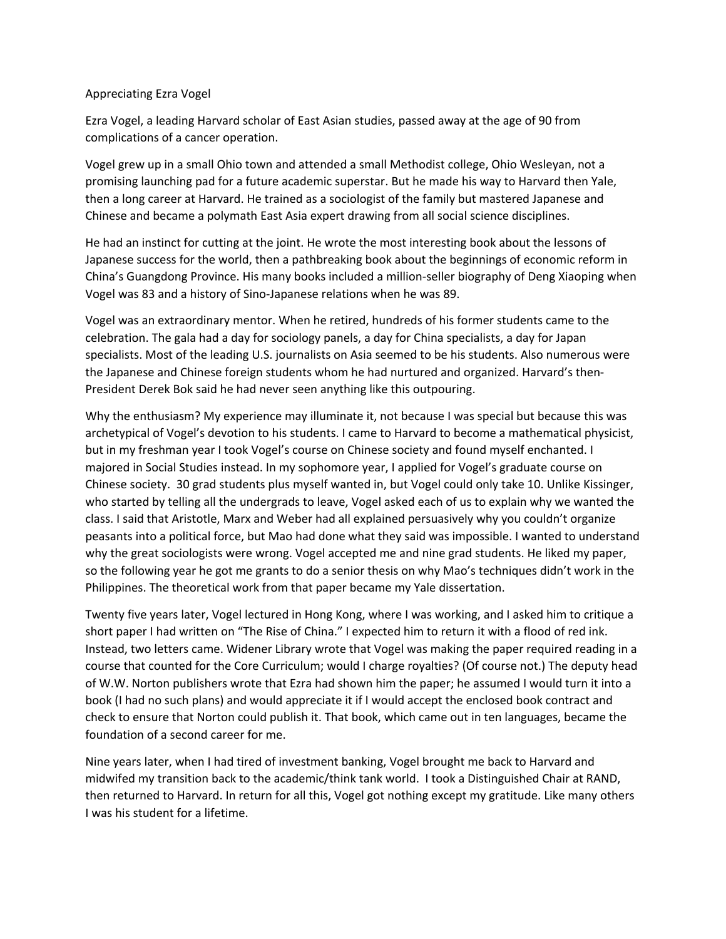## Appreciating Ezra Vogel

Ezra Vogel, a leading Harvard scholar of East Asian studies, passed away at the age of 90 from complications of a cancer operation.

Vogel grew up in a small Ohio town and attended a small Methodist college, Ohio Wesleyan, not a promising launching pad for a future academic superstar. But he made his way to Harvard then Yale, then a long career at Harvard. He trained as a sociologist of the family but mastered Japanese and Chinese and became a polymath East Asia expert drawing from all social science disciplines.

He had an instinct for cutting at the joint. He wrote the most interesting book about the lessons of Japanese success for the world, then a pathbreaking book about the beginnings of economic reform in China's Guangdong Province. His many books included a million-seller biography of Deng Xiaoping when Vogel was 83 and a history of Sino-Japanese relations when he was 89.

Vogel was an extraordinary mentor. When he retired, hundreds of his former students came to the celebration. The gala had a day for sociology panels, a day for China specialists, a day for Japan specialists. Most of the leading U.S. journalists on Asia seemed to be his students. Also numerous were the Japanese and Chinese foreign students whom he had nurtured and organized. Harvard's then-President Derek Bok said he had never seen anything like this outpouring.

Why the enthusiasm? My experience may illuminate it, not because I was special but because this was archetypical of Vogel's devotion to his students. I came to Harvard to become a mathematical physicist, but in my freshman year I took Vogel's course on Chinese society and found myself enchanted. I majored in Social Studies instead. In my sophomore year, I applied for Vogel's graduate course on Chinese society. 30 grad students plus myself wanted in, but Vogel could only take 10. Unlike Kissinger, who started by telling all the undergrads to leave, Vogel asked each of us to explain why we wanted the class. I said that Aristotle, Marx and Weber had all explained persuasively why you couldn't organize peasants into a political force, but Mao had done what they said was impossible. I wanted to understand why the great sociologists were wrong. Vogel accepted me and nine grad students. He liked my paper, so the following year he got me grants to do a senior thesis on why Mao's techniques didn't work in the Philippines. The theoretical work from that paper became my Yale dissertation.

Twenty five years later, Vogel lectured in Hong Kong, where I was working, and I asked him to critique a short paper I had written on "The Rise of China." I expected him to return it with a flood of red ink. Instead, two letters came. Widener Library wrote that Vogel was making the paper required reading in a course that counted for the Core Curriculum; would I charge royalties? (Of course not.) The deputy head of W.W. Norton publishers wrote that Ezra had shown him the paper; he assumed I would turn it into a book (I had no such plans) and would appreciate it if I would accept the enclosed book contract and check to ensure that Norton could publish it. That book, which came out in ten languages, became the foundation of a second career for me.

Nine years later, when I had tired of investment banking, Vogel brought me back to Harvard and midwifed my transition back to the academic/think tank world. I took a Distinguished Chair at RAND, then returned to Harvard. In return for all this, Vogel got nothing except my gratitude. Like many others I was his student for a lifetime.